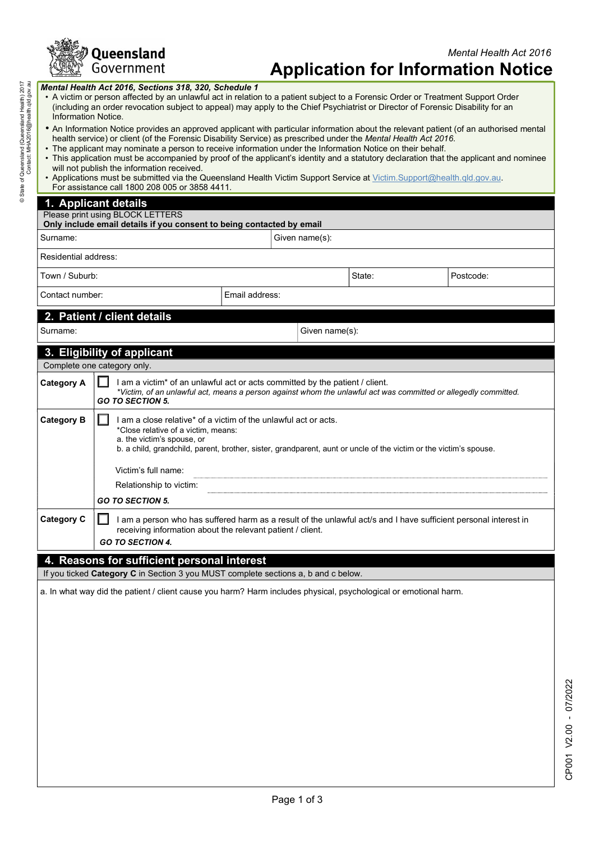

| Mental Health Act 2016, Sections 318, 320, Schedule 1<br>• A victim or person affected by an unlawful act in relation to a patient subject to a Forensic Order or Treatment Support Order<br>(including an order revocation subject to appeal) may apply to the Chief Psychiatrist or Director of Forensic Disability for an<br>Information Notice.<br>. An Information Notice provides an approved applicant with particular information about the relevant patient (of an authorised mental<br>health service) or client (of the Forensic Disability Service) as prescribed under the Mental Health Act 2016.<br>• The applicant may nominate a person to receive information under the Information Notice on their behalf.<br>• This application must be accompanied by proof of the applicant's identity and a statutory declaration that the applicant and nominee<br>will not publish the information received.<br>. Applications must be submitted via the Queensland Health Victim Support Service at Victim.Support@health.gld.gov.au.<br>For assistance call 1800 208 005 or 3858 4411.<br>1. Applicant details<br>Please print using BLOCK LETTERS<br>Only include email details if you consent to being contacted by email<br>Given name(s):<br>Residential address:<br>State:<br>Postcode:<br>Email address:<br>Contact number:<br>2. Patient / client details<br>Given name(s):<br>3. Eligibility of applicant<br>Complete one category only.<br>$\Box$<br>I am a victim <sup>*</sup> of an unlawful act or acts committed by the patient / client.<br>*Victim, of an unlawful act, means a person against whom the unlawful act was committed or allegedly committed.<br><b>GO TO SECTION 5.</b><br>$\Box$<br>I am a close relative* of a victim of the unlawful act or acts.<br>*Close relative of a victim, means:<br>a. the victim's spouse, or<br>b. a child, grandchild, parent, brother, sister, grandparent, aunt or uncle of the victim or the victim's spouse.<br>Victim's full name:<br>Relationship to victim:<br><b>GO TO SECTION 5.</b><br>I am a person who has suffered harm as a result of the unlawful act/s and I have sufficient personal interest in<br>receiving information about the relevant patient / client.<br><b>GO TO SECTION 4.</b><br>4. Reasons for sufficient personal interest<br>If you ticked Category C in Section 3 you MUST complete sections a, b and c below.<br>a. In what way did the patient / client cause you harm? Harm includes physical, psychological or emotional harm. |                   |  |  |  |  |  |  |
|-------------------------------------------------------------------------------------------------------------------------------------------------------------------------------------------------------------------------------------------------------------------------------------------------------------------------------------------------------------------------------------------------------------------------------------------------------------------------------------------------------------------------------------------------------------------------------------------------------------------------------------------------------------------------------------------------------------------------------------------------------------------------------------------------------------------------------------------------------------------------------------------------------------------------------------------------------------------------------------------------------------------------------------------------------------------------------------------------------------------------------------------------------------------------------------------------------------------------------------------------------------------------------------------------------------------------------------------------------------------------------------------------------------------------------------------------------------------------------------------------------------------------------------------------------------------------------------------------------------------------------------------------------------------------------------------------------------------------------------------------------------------------------------------------------------------------------------------------------------------------------------------------------------------------------------------------------------------------------------------------------------------------------------------------------------------------------------------------------------------------------------------------------------------------------------------------------------------------------------------------------------------------------------------------------------------------------------------------------------------------------------------------------------------------------------------------------------------------------------------------------------------------------------------|-------------------|--|--|--|--|--|--|
|                                                                                                                                                                                                                                                                                                                                                                                                                                                                                                                                                                                                                                                                                                                                                                                                                                                                                                                                                                                                                                                                                                                                                                                                                                                                                                                                                                                                                                                                                                                                                                                                                                                                                                                                                                                                                                                                                                                                                                                                                                                                                                                                                                                                                                                                                                                                                                                                                                                                                                                                           |                   |  |  |  |  |  |  |
|                                                                                                                                                                                                                                                                                                                                                                                                                                                                                                                                                                                                                                                                                                                                                                                                                                                                                                                                                                                                                                                                                                                                                                                                                                                                                                                                                                                                                                                                                                                                                                                                                                                                                                                                                                                                                                                                                                                                                                                                                                                                                                                                                                                                                                                                                                                                                                                                                                                                                                                                           |                   |  |  |  |  |  |  |
|                                                                                                                                                                                                                                                                                                                                                                                                                                                                                                                                                                                                                                                                                                                                                                                                                                                                                                                                                                                                                                                                                                                                                                                                                                                                                                                                                                                                                                                                                                                                                                                                                                                                                                                                                                                                                                                                                                                                                                                                                                                                                                                                                                                                                                                                                                                                                                                                                                                                                                                                           |                   |  |  |  |  |  |  |
|                                                                                                                                                                                                                                                                                                                                                                                                                                                                                                                                                                                                                                                                                                                                                                                                                                                                                                                                                                                                                                                                                                                                                                                                                                                                                                                                                                                                                                                                                                                                                                                                                                                                                                                                                                                                                                                                                                                                                                                                                                                                                                                                                                                                                                                                                                                                                                                                                                                                                                                                           |                   |  |  |  |  |  |  |
|                                                                                                                                                                                                                                                                                                                                                                                                                                                                                                                                                                                                                                                                                                                                                                                                                                                                                                                                                                                                                                                                                                                                                                                                                                                                                                                                                                                                                                                                                                                                                                                                                                                                                                                                                                                                                                                                                                                                                                                                                                                                                                                                                                                                                                                                                                                                                                                                                                                                                                                                           |                   |  |  |  |  |  |  |
|                                                                                                                                                                                                                                                                                                                                                                                                                                                                                                                                                                                                                                                                                                                                                                                                                                                                                                                                                                                                                                                                                                                                                                                                                                                                                                                                                                                                                                                                                                                                                                                                                                                                                                                                                                                                                                                                                                                                                                                                                                                                                                                                                                                                                                                                                                                                                                                                                                                                                                                                           |                   |  |  |  |  |  |  |
|                                                                                                                                                                                                                                                                                                                                                                                                                                                                                                                                                                                                                                                                                                                                                                                                                                                                                                                                                                                                                                                                                                                                                                                                                                                                                                                                                                                                                                                                                                                                                                                                                                                                                                                                                                                                                                                                                                                                                                                                                                                                                                                                                                                                                                                                                                                                                                                                                                                                                                                                           | Surname:          |  |  |  |  |  |  |
|                                                                                                                                                                                                                                                                                                                                                                                                                                                                                                                                                                                                                                                                                                                                                                                                                                                                                                                                                                                                                                                                                                                                                                                                                                                                                                                                                                                                                                                                                                                                                                                                                                                                                                                                                                                                                                                                                                                                                                                                                                                                                                                                                                                                                                                                                                                                                                                                                                                                                                                                           |                   |  |  |  |  |  |  |
|                                                                                                                                                                                                                                                                                                                                                                                                                                                                                                                                                                                                                                                                                                                                                                                                                                                                                                                                                                                                                                                                                                                                                                                                                                                                                                                                                                                                                                                                                                                                                                                                                                                                                                                                                                                                                                                                                                                                                                                                                                                                                                                                                                                                                                                                                                                                                                                                                                                                                                                                           | Town / Suburb:    |  |  |  |  |  |  |
|                                                                                                                                                                                                                                                                                                                                                                                                                                                                                                                                                                                                                                                                                                                                                                                                                                                                                                                                                                                                                                                                                                                                                                                                                                                                                                                                                                                                                                                                                                                                                                                                                                                                                                                                                                                                                                                                                                                                                                                                                                                                                                                                                                                                                                                                                                                                                                                                                                                                                                                                           |                   |  |  |  |  |  |  |
|                                                                                                                                                                                                                                                                                                                                                                                                                                                                                                                                                                                                                                                                                                                                                                                                                                                                                                                                                                                                                                                                                                                                                                                                                                                                                                                                                                                                                                                                                                                                                                                                                                                                                                                                                                                                                                                                                                                                                                                                                                                                                                                                                                                                                                                                                                                                                                                                                                                                                                                                           |                   |  |  |  |  |  |  |
|                                                                                                                                                                                                                                                                                                                                                                                                                                                                                                                                                                                                                                                                                                                                                                                                                                                                                                                                                                                                                                                                                                                                                                                                                                                                                                                                                                                                                                                                                                                                                                                                                                                                                                                                                                                                                                                                                                                                                                                                                                                                                                                                                                                                                                                                                                                                                                                                                                                                                                                                           | Surname:          |  |  |  |  |  |  |
|                                                                                                                                                                                                                                                                                                                                                                                                                                                                                                                                                                                                                                                                                                                                                                                                                                                                                                                                                                                                                                                                                                                                                                                                                                                                                                                                                                                                                                                                                                                                                                                                                                                                                                                                                                                                                                                                                                                                                                                                                                                                                                                                                                                                                                                                                                                                                                                                                                                                                                                                           |                   |  |  |  |  |  |  |
|                                                                                                                                                                                                                                                                                                                                                                                                                                                                                                                                                                                                                                                                                                                                                                                                                                                                                                                                                                                                                                                                                                                                                                                                                                                                                                                                                                                                                                                                                                                                                                                                                                                                                                                                                                                                                                                                                                                                                                                                                                                                                                                                                                                                                                                                                                                                                                                                                                                                                                                                           |                   |  |  |  |  |  |  |
|                                                                                                                                                                                                                                                                                                                                                                                                                                                                                                                                                                                                                                                                                                                                                                                                                                                                                                                                                                                                                                                                                                                                                                                                                                                                                                                                                                                                                                                                                                                                                                                                                                                                                                                                                                                                                                                                                                                                                                                                                                                                                                                                                                                                                                                                                                                                                                                                                                                                                                                                           | <b>Category A</b> |  |  |  |  |  |  |
|                                                                                                                                                                                                                                                                                                                                                                                                                                                                                                                                                                                                                                                                                                                                                                                                                                                                                                                                                                                                                                                                                                                                                                                                                                                                                                                                                                                                                                                                                                                                                                                                                                                                                                                                                                                                                                                                                                                                                                                                                                                                                                                                                                                                                                                                                                                                                                                                                                                                                                                                           | <b>Category B</b> |  |  |  |  |  |  |
|                                                                                                                                                                                                                                                                                                                                                                                                                                                                                                                                                                                                                                                                                                                                                                                                                                                                                                                                                                                                                                                                                                                                                                                                                                                                                                                                                                                                                                                                                                                                                                                                                                                                                                                                                                                                                                                                                                                                                                                                                                                                                                                                                                                                                                                                                                                                                                                                                                                                                                                                           |                   |  |  |  |  |  |  |
|                                                                                                                                                                                                                                                                                                                                                                                                                                                                                                                                                                                                                                                                                                                                                                                                                                                                                                                                                                                                                                                                                                                                                                                                                                                                                                                                                                                                                                                                                                                                                                                                                                                                                                                                                                                                                                                                                                                                                                                                                                                                                                                                                                                                                                                                                                                                                                                                                                                                                                                                           |                   |  |  |  |  |  |  |
|                                                                                                                                                                                                                                                                                                                                                                                                                                                                                                                                                                                                                                                                                                                                                                                                                                                                                                                                                                                                                                                                                                                                                                                                                                                                                                                                                                                                                                                                                                                                                                                                                                                                                                                                                                                                                                                                                                                                                                                                                                                                                                                                                                                                                                                                                                                                                                                                                                                                                                                                           |                   |  |  |  |  |  |  |
|                                                                                                                                                                                                                                                                                                                                                                                                                                                                                                                                                                                                                                                                                                                                                                                                                                                                                                                                                                                                                                                                                                                                                                                                                                                                                                                                                                                                                                                                                                                                                                                                                                                                                                                                                                                                                                                                                                                                                                                                                                                                                                                                                                                                                                                                                                                                                                                                                                                                                                                                           | <b>Category C</b> |  |  |  |  |  |  |
|                                                                                                                                                                                                                                                                                                                                                                                                                                                                                                                                                                                                                                                                                                                                                                                                                                                                                                                                                                                                                                                                                                                                                                                                                                                                                                                                                                                                                                                                                                                                                                                                                                                                                                                                                                                                                                                                                                                                                                                                                                                                                                                                                                                                                                                                                                                                                                                                                                                                                                                                           |                   |  |  |  |  |  |  |
|                                                                                                                                                                                                                                                                                                                                                                                                                                                                                                                                                                                                                                                                                                                                                                                                                                                                                                                                                                                                                                                                                                                                                                                                                                                                                                                                                                                                                                                                                                                                                                                                                                                                                                                                                                                                                                                                                                                                                                                                                                                                                                                                                                                                                                                                                                                                                                                                                                                                                                                                           |                   |  |  |  |  |  |  |
|                                                                                                                                                                                                                                                                                                                                                                                                                                                                                                                                                                                                                                                                                                                                                                                                                                                                                                                                                                                                                                                                                                                                                                                                                                                                                                                                                                                                                                                                                                                                                                                                                                                                                                                                                                                                                                                                                                                                                                                                                                                                                                                                                                                                                                                                                                                                                                                                                                                                                                                                           |                   |  |  |  |  |  |  |
|                                                                                                                                                                                                                                                                                                                                                                                                                                                                                                                                                                                                                                                                                                                                                                                                                                                                                                                                                                                                                                                                                                                                                                                                                                                                                                                                                                                                                                                                                                                                                                                                                                                                                                                                                                                                                                                                                                                                                                                                                                                                                                                                                                                                                                                                                                                                                                                                                                                                                                                                           |                   |  |  |  |  |  |  |
|                                                                                                                                                                                                                                                                                                                                                                                                                                                                                                                                                                                                                                                                                                                                                                                                                                                                                                                                                                                                                                                                                                                                                                                                                                                                                                                                                                                                                                                                                                                                                                                                                                                                                                                                                                                                                                                                                                                                                                                                                                                                                                                                                                                                                                                                                                                                                                                                                                                                                                                                           |                   |  |  |  |  |  |  |
|                                                                                                                                                                                                                                                                                                                                                                                                                                                                                                                                                                                                                                                                                                                                                                                                                                                                                                                                                                                                                                                                                                                                                                                                                                                                                                                                                                                                                                                                                                                                                                                                                                                                                                                                                                                                                                                                                                                                                                                                                                                                                                                                                                                                                                                                                                                                                                                                                                                                                                                                           |                   |  |  |  |  |  |  |
|                                                                                                                                                                                                                                                                                                                                                                                                                                                                                                                                                                                                                                                                                                                                                                                                                                                                                                                                                                                                                                                                                                                                                                                                                                                                                                                                                                                                                                                                                                                                                                                                                                                                                                                                                                                                                                                                                                                                                                                                                                                                                                                                                                                                                                                                                                                                                                                                                                                                                                                                           |                   |  |  |  |  |  |  |
|                                                                                                                                                                                                                                                                                                                                                                                                                                                                                                                                                                                                                                                                                                                                                                                                                                                                                                                                                                                                                                                                                                                                                                                                                                                                                                                                                                                                                                                                                                                                                                                                                                                                                                                                                                                                                                                                                                                                                                                                                                                                                                                                                                                                                                                                                                                                                                                                                                                                                                                                           |                   |  |  |  |  |  |  |
|                                                                                                                                                                                                                                                                                                                                                                                                                                                                                                                                                                                                                                                                                                                                                                                                                                                                                                                                                                                                                                                                                                                                                                                                                                                                                                                                                                                                                                                                                                                                                                                                                                                                                                                                                                                                                                                                                                                                                                                                                                                                                                                                                                                                                                                                                                                                                                                                                                                                                                                                           |                   |  |  |  |  |  |  |
|                                                                                                                                                                                                                                                                                                                                                                                                                                                                                                                                                                                                                                                                                                                                                                                                                                                                                                                                                                                                                                                                                                                                                                                                                                                                                                                                                                                                                                                                                                                                                                                                                                                                                                                                                                                                                                                                                                                                                                                                                                                                                                                                                                                                                                                                                                                                                                                                                                                                                                                                           |                   |  |  |  |  |  |  |
|                                                                                                                                                                                                                                                                                                                                                                                                                                                                                                                                                                                                                                                                                                                                                                                                                                                                                                                                                                                                                                                                                                                                                                                                                                                                                                                                                                                                                                                                                                                                                                                                                                                                                                                                                                                                                                                                                                                                                                                                                                                                                                                                                                                                                                                                                                                                                                                                                                                                                                                                           |                   |  |  |  |  |  |  |
|                                                                                                                                                                                                                                                                                                                                                                                                                                                                                                                                                                                                                                                                                                                                                                                                                                                                                                                                                                                                                                                                                                                                                                                                                                                                                                                                                                                                                                                                                                                                                                                                                                                                                                                                                                                                                                                                                                                                                                                                                                                                                                                                                                                                                                                                                                                                                                                                                                                                                                                                           |                   |  |  |  |  |  |  |
|                                                                                                                                                                                                                                                                                                                                                                                                                                                                                                                                                                                                                                                                                                                                                                                                                                                                                                                                                                                                                                                                                                                                                                                                                                                                                                                                                                                                                                                                                                                                                                                                                                                                                                                                                                                                                                                                                                                                                                                                                                                                                                                                                                                                                                                                                                                                                                                                                                                                                                                                           |                   |  |  |  |  |  |  |
|                                                                                                                                                                                                                                                                                                                                                                                                                                                                                                                                                                                                                                                                                                                                                                                                                                                                                                                                                                                                                                                                                                                                                                                                                                                                                                                                                                                                                                                                                                                                                                                                                                                                                                                                                                                                                                                                                                                                                                                                                                                                                                                                                                                                                                                                                                                                                                                                                                                                                                                                           |                   |  |  |  |  |  |  |
| Page 1 of 3                                                                                                                                                                                                                                                                                                                                                                                                                                                                                                                                                                                                                                                                                                                                                                                                                                                                                                                                                                                                                                                                                                                                                                                                                                                                                                                                                                                                                                                                                                                                                                                                                                                                                                                                                                                                                                                                                                                                                                                                                                                                                                                                                                                                                                                                                                                                                                                                                                                                                                                               |                   |  |  |  |  |  |  |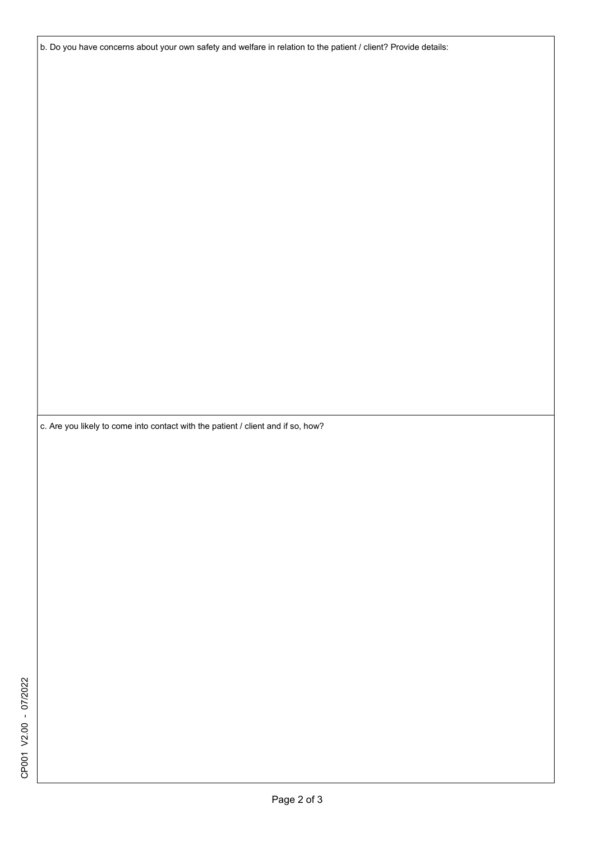b. Do you have concerns about your own safety and welfare in relation to the patient / client? Provide details:

c. Are you likely to come into contact with the patient / client and if so, how?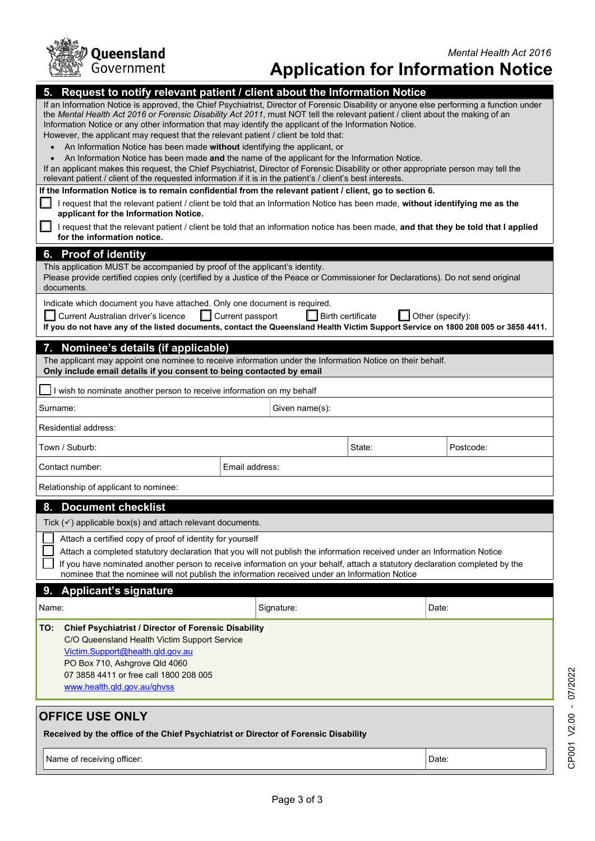

| 5.<br>applicant for the Information Notice.<br>ш<br>for the information notice.<br>6. Proof of identity<br>documents.<br>Current Australian driver's licence                                      | Request to notify relevant patient / client about the Information Notice<br>If an Information Notice is approved, the Chief Psychiatrist, Director of Forensic Disability or anyone else performing a function under<br>the Mental Health Act 2016 or Forensic Disability Act 2011, must NOT tell the relevant patient / client about the making of an<br>Information Notice or any other information that may identify the applicant of the Information Notice.<br>However, the applicant may request that the relevant patient / client be told that:<br>An Information Notice has been made without identifying the applicant, or<br>An Information Notice has been made and the name of the applicant for the Information Notice.<br>If an applicant makes this request, the Chief Psychiatrist, Director of Forensic Disability or other appropriate person may tell the<br>relevant patient / client of the requested information if it is in the patient's / client's best interests.<br>If the Information Notice is to remain confidential from the relevant patient / client, go to section 6.<br>request that the relevant patient / client be told that an Information Notice has been made, without identifying me as the<br>request that the relevant patient / client be told that an information notice has been made, and that they be told that I applied<br>This application MUST be accompanied by proof of the applicant's identity.<br>Please provide certified copies only (certified by a Justice of the Peace or Commissioner for Declarations). Do not send original<br>Indicate which document you have attached. Only one document is required.<br>$\Box$ Current passport<br>If you do not have any of the listed documents, contact the Queensland Health Victim Support Service on 1800 208 005 or 3858 4411. | <b>I</b> Birth certificate | $\Box$ Other (specify): |  |
|---------------------------------------------------------------------------------------------------------------------------------------------------------------------------------------------------|----------------------------------------------------------------------------------------------------------------------------------------------------------------------------------------------------------------------------------------------------------------------------------------------------------------------------------------------------------------------------------------------------------------------------------------------------------------------------------------------------------------------------------------------------------------------------------------------------------------------------------------------------------------------------------------------------------------------------------------------------------------------------------------------------------------------------------------------------------------------------------------------------------------------------------------------------------------------------------------------------------------------------------------------------------------------------------------------------------------------------------------------------------------------------------------------------------------------------------------------------------------------------------------------------------------------------------------------------------------------------------------------------------------------------------------------------------------------------------------------------------------------------------------------------------------------------------------------------------------------------------------------------------------------------------------------------------------------------------------------------------------------------------------------------------------------------------------------|----------------------------|-------------------------|--|
| 7. Nominee's details (if applicable)                                                                                                                                                              |                                                                                                                                                                                                                                                                                                                                                                                                                                                                                                                                                                                                                                                                                                                                                                                                                                                                                                                                                                                                                                                                                                                                                                                                                                                                                                                                                                                                                                                                                                                                                                                                                                                                                                                                                                                                                                              |                            |                         |  |
|                                                                                                                                                                                                   | The applicant may appoint one nominee to receive information under the Information Notice on their behalf.<br>Only include email details if you consent to being contacted by email                                                                                                                                                                                                                                                                                                                                                                                                                                                                                                                                                                                                                                                                                                                                                                                                                                                                                                                                                                                                                                                                                                                                                                                                                                                                                                                                                                                                                                                                                                                                                                                                                                                          |                            |                         |  |
|                                                                                                                                                                                                   | I wish to nominate another person to receive information on my behalf                                                                                                                                                                                                                                                                                                                                                                                                                                                                                                                                                                                                                                                                                                                                                                                                                                                                                                                                                                                                                                                                                                                                                                                                                                                                                                                                                                                                                                                                                                                                                                                                                                                                                                                                                                        |                            |                         |  |
| Surname:                                                                                                                                                                                          |                                                                                                                                                                                                                                                                                                                                                                                                                                                                                                                                                                                                                                                                                                                                                                                                                                                                                                                                                                                                                                                                                                                                                                                                                                                                                                                                                                                                                                                                                                                                                                                                                                                                                                                                                                                                                                              | Given name(s):             |                         |  |
| Residential address:                                                                                                                                                                              |                                                                                                                                                                                                                                                                                                                                                                                                                                                                                                                                                                                                                                                                                                                                                                                                                                                                                                                                                                                                                                                                                                                                                                                                                                                                                                                                                                                                                                                                                                                                                                                                                                                                                                                                                                                                                                              |                            |                         |  |
| Town / Suburb:                                                                                                                                                                                    |                                                                                                                                                                                                                                                                                                                                                                                                                                                                                                                                                                                                                                                                                                                                                                                                                                                                                                                                                                                                                                                                                                                                                                                                                                                                                                                                                                                                                                                                                                                                                                                                                                                                                                                                                                                                                                              | State:                     | Postcode:               |  |
| Contact number:                                                                                                                                                                                   | Email address:                                                                                                                                                                                                                                                                                                                                                                                                                                                                                                                                                                                                                                                                                                                                                                                                                                                                                                                                                                                                                                                                                                                                                                                                                                                                                                                                                                                                                                                                                                                                                                                                                                                                                                                                                                                                                               |                            |                         |  |
| Relationship of applicant to nominee:                                                                                                                                                             |                                                                                                                                                                                                                                                                                                                                                                                                                                                                                                                                                                                                                                                                                                                                                                                                                                                                                                                                                                                                                                                                                                                                                                                                                                                                                                                                                                                                                                                                                                                                                                                                                                                                                                                                                                                                                                              |                            |                         |  |
| 8. Document checklist                                                                                                                                                                             |                                                                                                                                                                                                                                                                                                                                                                                                                                                                                                                                                                                                                                                                                                                                                                                                                                                                                                                                                                                                                                                                                                                                                                                                                                                                                                                                                                                                                                                                                                                                                                                                                                                                                                                                                                                                                                              |                            |                         |  |
| Tick $(\checkmark)$ applicable box(s) and attach relevant documents                                                                                                                               |                                                                                                                                                                                                                                                                                                                                                                                                                                                                                                                                                                                                                                                                                                                                                                                                                                                                                                                                                                                                                                                                                                                                                                                                                                                                                                                                                                                                                                                                                                                                                                                                                                                                                                                                                                                                                                              |                            |                         |  |
|                                                                                                                                                                                                   | Attach a certified copy of proof of identity for yourself<br>Attach a completed statutory declaration that you will not publish the information received under an Information Notice<br>If you have nominated another person to receive information on your behalf, attach a statutory declaration completed by the<br>nominee that the nominee will not publish the information received under an Information Notice                                                                                                                                                                                                                                                                                                                                                                                                                                                                                                                                                                                                                                                                                                                                                                                                                                                                                                                                                                                                                                                                                                                                                                                                                                                                                                                                                                                                                        |                            |                         |  |
| 9. Applicant's signature                                                                                                                                                                          |                                                                                                                                                                                                                                                                                                                                                                                                                                                                                                                                                                                                                                                                                                                                                                                                                                                                                                                                                                                                                                                                                                                                                                                                                                                                                                                                                                                                                                                                                                                                                                                                                                                                                                                                                                                                                                              |                            |                         |  |
| Name:                                                                                                                                                                                             | Signature:                                                                                                                                                                                                                                                                                                                                                                                                                                                                                                                                                                                                                                                                                                                                                                                                                                                                                                                                                                                                                                                                                                                                                                                                                                                                                                                                                                                                                                                                                                                                                                                                                                                                                                                                                                                                                                   |                            | Date:                   |  |
| TO:<br>C/O Queensland Health Victim Support Service<br>Victim.Support@health.qld.gov.au<br>PO Box 710, Ashgrove Qld 4060<br>07 3858 4411 or free call 1800 208 005<br>www.health.gld.gov.au/ghvss | <b>Chief Psychiatrist / Director of Forensic Disability</b>                                                                                                                                                                                                                                                                                                                                                                                                                                                                                                                                                                                                                                                                                                                                                                                                                                                                                                                                                                                                                                                                                                                                                                                                                                                                                                                                                                                                                                                                                                                                                                                                                                                                                                                                                                                  |                            |                         |  |
| <b>OFFICE USE ONLY</b>                                                                                                                                                                            | Received by the office of the Chief Psychiatrist or Director of Forensic Disability                                                                                                                                                                                                                                                                                                                                                                                                                                                                                                                                                                                                                                                                                                                                                                                                                                                                                                                                                                                                                                                                                                                                                                                                                                                                                                                                                                                                                                                                                                                                                                                                                                                                                                                                                          |                            |                         |  |
| Name of receiving officer:                                                                                                                                                                        |                                                                                                                                                                                                                                                                                                                                                                                                                                                                                                                                                                                                                                                                                                                                                                                                                                                                                                                                                                                                                                                                                                                                                                                                                                                                                                                                                                                                                                                                                                                                                                                                                                                                                                                                                                                                                                              |                            | Date:                   |  |
|                                                                                                                                                                                                   |                                                                                                                                                                                                                                                                                                                                                                                                                                                                                                                                                                                                                                                                                                                                                                                                                                                                                                                                                                                                                                                                                                                                                                                                                                                                                                                                                                                                                                                                                                                                                                                                                                                                                                                                                                                                                                              |                            |                         |  |
|                                                                                                                                                                                                   |                                                                                                                                                                                                                                                                                                                                                                                                                                                                                                                                                                                                                                                                                                                                                                                                                                                                                                                                                                                                                                                                                                                                                                                                                                                                                                                                                                                                                                                                                                                                                                                                                                                                                                                                                                                                                                              | Page 3 of 3                |                         |  |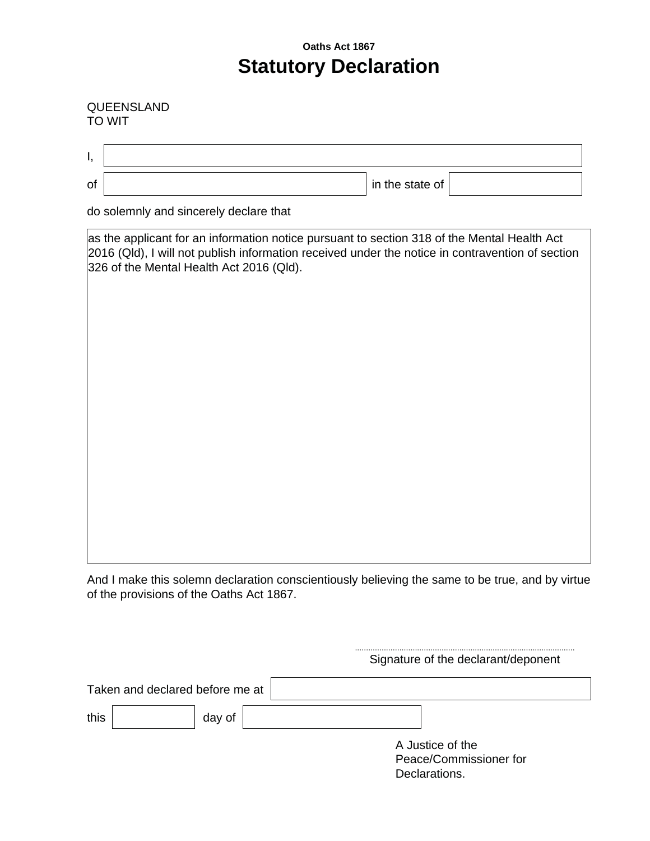## **Oaths Act 1867 Statutory Declaration**

## QUEENSLAND TO WIT

 $\overline{a}$ 

| ۱, |                                                                                                                                                                                                                                             |  |  |  |  |  |
|----|---------------------------------------------------------------------------------------------------------------------------------------------------------------------------------------------------------------------------------------------|--|--|--|--|--|
| of | in the state of                                                                                                                                                                                                                             |  |  |  |  |  |
|    | do solemnly and sincerely declare that                                                                                                                                                                                                      |  |  |  |  |  |
|    | as the applicant for an information notice pursuant to section 318 of the Mental Health Act<br>2016 (Qld), I will not publish information received under the notice in contravention of section<br>326 of the Mental Health Act 2016 (Qld). |  |  |  |  |  |
|    |                                                                                                                                                                                                                                             |  |  |  |  |  |
|    |                                                                                                                                                                                                                                             |  |  |  |  |  |
|    |                                                                                                                                                                                                                                             |  |  |  |  |  |
|    |                                                                                                                                                                                                                                             |  |  |  |  |  |
|    |                                                                                                                                                                                                                                             |  |  |  |  |  |
|    |                                                                                                                                                                                                                                             |  |  |  |  |  |

And I make this solemn declaration conscientiously believing the same to be true, and by virtue of the provisions of the Oaths Act 1867.

|                                 | Signature of the declarant/deponent |
|---------------------------------|-------------------------------------|
| Taken and declared before me at |                                     |
| this<br>day of                  |                                     |
|                                 | A Justice of the                    |
|                                 | Peace/Commissioner for              |
|                                 | Declarations.                       |